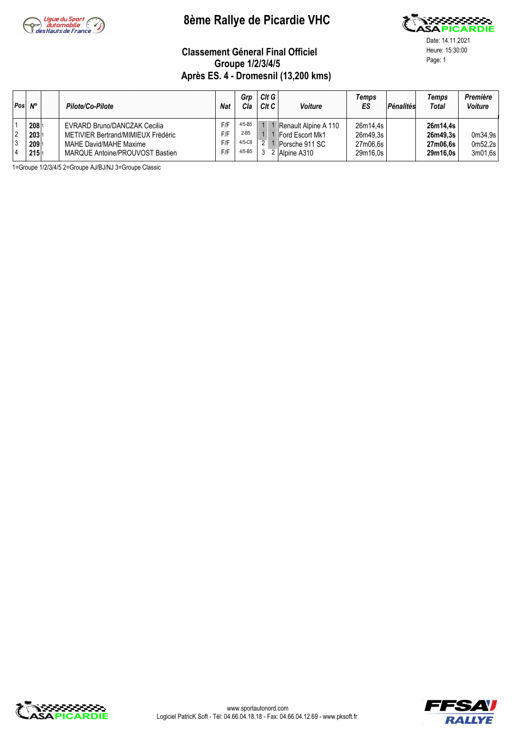

# **8ème Rallye de Picardie VHC**



Date: 14.11.2021

#### **Classement Géneral Final Officiel** Heure: 15:30:00 Page: 1 **Groupe 1/2/3/4/5 Après ES. 4 - Dromesnil (13,200 kms)**

| Pos                 | $N^{\circ}$                                   | Pilote/Co-Pilote                                                                                                                | <b>Nat</b>               | Gro<br>Cla                                     | CltG<br>CltC | <b>Voiture</b>                                                           | Temps<br>ES                                  | Pénalités | Temps<br>Total                               | <b>Première</b><br><b>Voiture</b> |
|---------------------|-----------------------------------------------|---------------------------------------------------------------------------------------------------------------------------------|--------------------------|------------------------------------------------|--------------|--------------------------------------------------------------------------|----------------------------------------------|-----------|----------------------------------------------|-----------------------------------|
| $\overline{2}$<br>3 | 2081<br>$203 _1$<br>2091<br>215 <sup>11</sup> | EVRARD Bruno/DANCZAK Cecilia<br>METIVIER Bertrand/MIMIEUX Frédéric<br>MAHE David/MAHE Maxime<br>MARQUE Antoine/PROUVOST Bastien | F/F<br>F/F<br>F/F<br>F/F | $4/5 - B5$<br>$2 - B5$<br>$4/5-C8$<br>$4/5-B5$ |              | Renault Alpine A 110<br>Ford Escort Mk1<br>Porsche 911 SC<br>Alpine A310 | 26m14.4s<br>26m49.3s<br>27m06.6s<br>29m16.0s |           | 26m14.4s<br>26m49.3s<br>27m06.6s<br>29m16.0s | 0m34,9s<br>0m52.2s<br>3m01.6s     |

1=Groupe 1/2/3/4/5 2=Groupe AJ/BJ/NJ 3=Groupe Classic



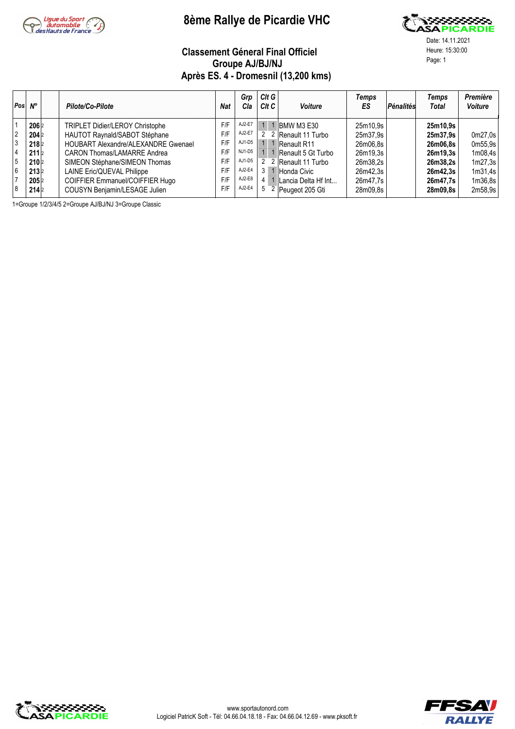

## **8ème Rallye de Picardie VHC**



Classement Géneral Final Officiel<br>
Croupe A UP UN L **Groupe AJ/BJ/NJ Après ES. 4 - Dromesnil (13,200 kms)**

Date: 14.11.2021

| Pos            | $N^{\circ}$      | Pilote/Co-Pilote                    | <b>Nat</b> | Grp<br>Cla | $Clt$ G<br>C <sub>It</sub> C | <b>Voiture</b>        | Temps<br>ES | Pénalités | Temps<br><b>Total</b> | Première<br><b>Voiture</b> |
|----------------|------------------|-------------------------------------|------------|------------|------------------------------|-----------------------|-------------|-----------|-----------------------|----------------------------|
|                | 2062             | TRIPLET Didier/LEROY Christophe     | F/F        | AJ2-E7     |                              | <b>IBMW M3 E30</b>    | 25m10.9s    |           | 25m10.9s              |                            |
| $\overline{2}$ | 204 2            | HAUTOT Raynald/SABOT Stéphane       | F/F        | AJ2-E7     |                              | 2 2 Renault 11 Turbo  | 25m37.9s    |           | 25m37.9s              | 0m27,0s                    |
|                | 218 <sub>2</sub> | HOUBART Alexandre/ALEXANDRE Gwenael | F/F        | AJ1-D5     |                              | 1 1 Renault R11       | 26m06.8s    |           | 26m06.8s              | 0m55.9s                    |
|                | 211 <sup>2</sup> | CARON Thomas/LAMARRE Andrea         | F/F        | $NJ1-D5$   |                              | Renault 5 Gt Turbo    | 26m19.3s    |           | 26m19.3s              | 1m08,4s                    |
| 5              | 210 2            | SIMEON Stéphane/SIMEON Thomas       | F/F        | AJ1-D5     |                              | 2 2 Renault 11 Turbo  | 26m38.2s    |           | 26m38.2s              | 1m27,3s                    |
| 6              | 213 2            | LAINE Eric/QUEVAL Philippe          | F/F        | AJ2-E4     | 3                            | 1 Honda Civic         | 26m42.3s    |           | 26m42.3s              | 1m31,4s                    |
|                | 2052             | COIFFIER Emmanuel/COIFFIER Hugo     | F/F        | AJ2-E8     |                              | 1 Lancia Delta Hf Int | 26m47.7s    |           | 26m47.7s              | 1m36,8s                    |
| 8              | 214 2            | COUSYN Benjamin/LESAGE Julien       | F/F        | AJ2-E4     | 5                            | 2 Peugeot 205 Gti     | 28m09.8s    |           | 28m09.8s              | 2m58,9s                    |

1=Groupe 1/2/3/4/5 2=Groupe AJ/BJ/NJ 3=Groupe Classic